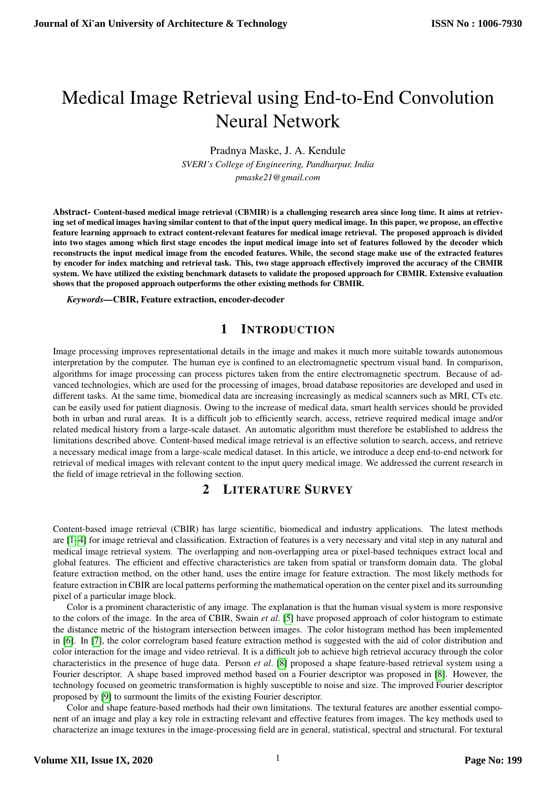# Medical Image Retrieval using End-to-End Convolution Neural Network

Pradnya Maske, J. A. Kendule

*SVERI's College of Engineering, Pandharpur, India pmaske21@gmail.com*

Abstract- Content-based medical image retrieval (CBMIR) is a challenging research area since long time. It aims at retrieving set of medical images having similar content to that of the input query medical image. In this paper, we propose, an effective feature learning approach to extract content-relevant features for medical image retrieval. The proposed approach is divided into two stages among which first stage encodes the input medical image into set of features followed by the decoder which reconstructs the input medical image from the encoded features. While, the second stage make use of the extracted features by encoder for index matching and retrieval task. This, two stage approach effectively improved the accuracy of the CBMIR system. We have utilized the existing benchmark datasets to validate the proposed approach for CBMIR. Extensive evaluation shows that the proposed approach outperforms the other existing methods for CBMIR.

*Keywords—*CBIR, Feature extraction, encoder-decoder

### 1 INTRODUCTION

Image processing improves representational details in the image and makes it much more suitable towards autonomous interpretation by the computer. The human eye is confined to an electromagnetic spectrum visual band. In comparison, algorithms for image processing can process pictures taken from the entire electromagnetic spectrum. Because of advanced technologies, which are used for the processing of images, broad database repositories are developed and used in different tasks. At the same time, biomedical data are increasing increasingly as medical scanners such as MRI, CTs etc. can be easily used for patient diagnosis. Owing to the increase of medical data, smart health services should be provided both in urban and rural areas. It is a difficult job to efficiently search, access, retrieve required medical image and/or related medical history from a large-scale dataset. An automatic algorithm must therefore be established to address the limitations described above. Content-based medical image retrieval is an effective solution to search, access, and retrieve a necessary medical image from a large-scale medical dataset. In this article, we introduce a deep end-to-end network for retrieval of medical images with relevant content to the input query medical image. We addressed the current research in the field of image retrieval in the following section.

## 2 LITERATURE SURVEY

Content-based image retrieval (CBIR) has large scientific, biomedical and industry applications. The latest methods are [\[1–](#page-6-0)[4\]](#page-6-1) for image retrieval and classification. Extraction of features is a very necessary and vital step in any natural and medical image retrieval system. The overlapping and non-overlapping area or pixel-based techniques extract local and global features. The efficient and effective characteristics are taken from spatial or transform domain data. The global feature extraction method, on the other hand, uses the entire image for feature extraction. The most likely methods for feature extraction in CBIR are local patterns performing the mathematical operation on the center pixel and its surrounding pixel of a particular image block.

Color is a prominent characteristic of any image. The explanation is that the human visual system is more responsive to the colors of the image. In the area of CBIR, Swain *et al*. [\[5\]](#page-6-2) have proposed approach of color histogram to estimate the distance metric of the histogram intersection between images. The color histogram method has been implemented in [\[6\]](#page-6-3). In [\[7\]](#page-6-4), the color correlogram based feature extraction method is suggested with the aid of color distribution and color interaction for the image and video retrieval. It is a difficult job to achieve high retrieval accuracy through the color characteristics in the presence of huge data. Person *et al*. [\[8\]](#page-6-5) proposed a shape feature-based retrieval system using a Fourier descriptor. A shape based improved method based on a Fourier descriptor was proposed in [\[8\]](#page-6-5). However, the technology focused on geometric transformation is highly susceptible to noise and size. The improved Fourier descriptor proposed by [\[9\]](#page-6-6) to surmount the limits of the existing Fourier descriptor.

Color and shape feature-based methods had their own limitations. The textural features are another essential component of an image and play a key role in extracting relevant and effective features from images. The key methods used to characterize an image textures in the image-processing field are in general, statistical, spectral and structural. For textural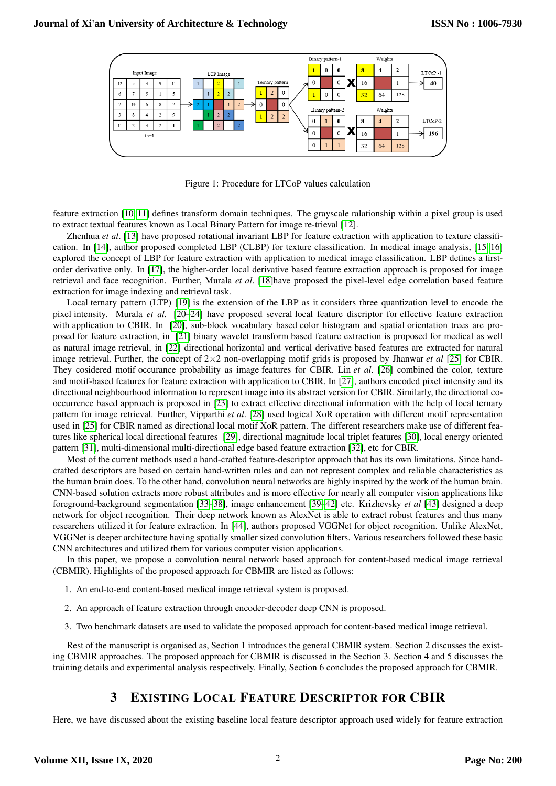

<span id="page-1-0"></span>Figure 1: Procedure for LTCoP values calculation

feature extraction [\[10,](#page-6-7) [11\]](#page-6-8) defines transform domain techniques. The grayscale ralationship within a pixel group is used to extract textual features known as Local Binary Pattern for image re-trieval [\[12\]](#page-6-9).

Zhenhua *et al*. [\[13\]](#page-6-10) have proposed rotational invariant LBP for feature extraction with application to texture classification. In [\[14\]](#page-6-11), author proposed completed LBP (CLBP) for texture classification. In medical image analysis, [\[15,](#page-6-12) [16\]](#page-6-13) explored the concept of LBP for feature extraction with application to medical image classification. LBP defines a firstorder derivative only. In [\[17\]](#page-6-14), the higher-order local derivative based feature extraction approach is proposed for image retrieval and face recognition. Further, Murala *et al*. [\[18\]](#page-6-15)have proposed the pixel-level edge correlation based feature extraction for image indexing and retrieval task.

Local ternary pattern (LTP) [\[19\]](#page-6-16) is the extension of the LBP as it considers three quantization level to encode the pixel intensity. Murala *et al.* [\[20](#page-6-17)[–24\]](#page-6-18) have proposed several local feature discriptor for effective feature extraction with application to CBIR. In [\[20\]](#page-6-17), sub-block vocabulary based color histogram and spatial orientation trees are pro-posed for feature extraction, in [\[21\]](#page-6-19) binary wavelet transform based feature extraction is proposed for medical as well as natural image retrieval, in [\[22\]](#page-6-20) directional horizontal and vertical derivative based features are extracted for natural image retrieval. Further, the concept of  $2\times2$  non-overlapping motif grids is proposed by Jhanwar *et al* [\[25\]](#page-6-21) for CBIR. They cosidered motif occurance probability as image features for CBIR. Lin *et al.* [\[26\]](#page-6-22) combined the color, texture and motif-based features for feature extraction with application to CBIR. In [\[27\]](#page-6-23), authors encoded pixel intensity and its directional neighbourhood information to represent image into its abstract version for CBIR. Similarly, the directional co-occurrence based approach is proposed in [\[23\]](#page-6-24) to extract effective directional information with the help of local ternary pattern for image retrieval. Further, Vipparthi et al. [\[28\]](#page-6-25) used logical XoR operation with different motif representation used in [\[25\]](#page-6-21) for CBIR named as directional local motif XoR pattern. The different researchers make use of different fea-tures like spherical local directional features [\[29\]](#page-6-26), directional magnitude local triplet features [\[30\]](#page-6-27), local energy oriented pattern [\[31\]](#page-6-28), multi-dimensional multi-directional edge based feature extraction [\[32\]](#page-7-0), etc for CBIR.

Most of the current methods used a hand-crafted feature-descriptor approach that has its own limitations. Since handcrafted descriptors are based on certain hand-written rules and can not represent complex and reliable characteristics as the human brain does. To the other hand, convolution neural networks are highly inspired by the work of the human brain. CNN-based solution extracts more robust attributes and is more effective for nearly all computer vision applications like foreground-background segmentation [\[33–](#page-7-1)[38\]](#page-7-2), image enhancement [\[39–](#page-7-3)[42\]](#page-7-4) etc. Krizhevsky *et al* [\[43\]](#page-7-5) designed a deep network for object recognition. Their deep network known as AlexNet is able to extract robust features and thus many researchers utilized it for feature extraction. In [\[44\]](#page-7-6), authors proposed VGGNet for object recognition. Unlike AlexNet, VGGNet is deeper architecture having spatially smaller sized convolution filters. Various researchers followed these basic CNN architectures and utilized them for various computer vision applications.

In this paper, we propose a convolution neural network based approach for content-based medical image retrieval (CBMIR). Highlights of the proposed approach for CBMIR are listed as follows:

- 1. An end-to-end content-based medical image retrieval system is proposed.
- 2. An approach of feature extraction through encoder-decoder deep CNN is proposed.
- 3. Two benchmark datasets are used to validate the proposed approach for content-based medical image retrieval.

Rest of the manuscript is organised as, Section 1 introduces the general CBMIR system. Section 2 discusses the existing CBMIR approaches. The proposed approach for CBMIR is discussed in the Section 3. Section 4 and 5 discusses the training details and experimental analysis respectively. Finally, Section 6 concludes the proposed approach for CBMIR.

## 3 EXISTING LOCAL FEATURE DESCRIPTOR FOR CBIR

Here, we have discussed about the existing baseline local feature descriptor approach used widely for feature extraction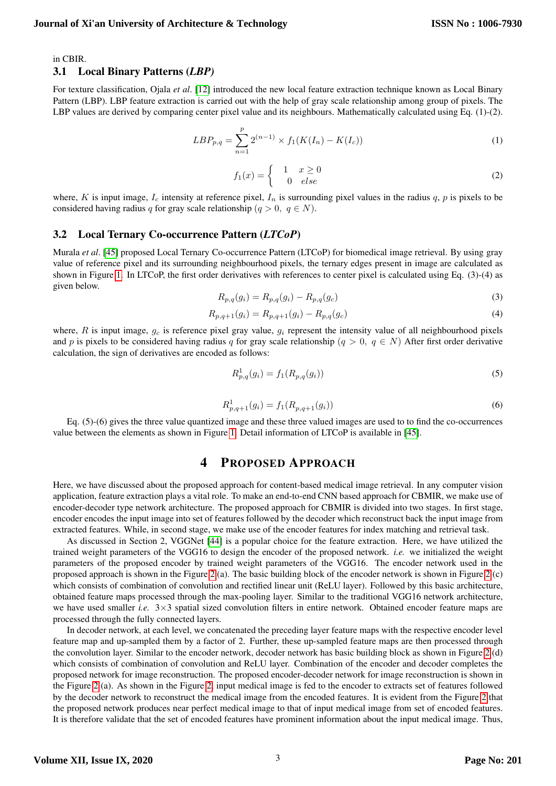in CBIR.

#### 3.1 Local Binary Patterns (*LBP)*

For texture classification, Ojala *et al.* [\[12\]](#page-6-9) introduced the new local feature extraction technique known as Local Binary Pattern (LBP). LBP feature extraction is carried out with the help of gray scale relationship among group of pixels. The LBP values are derived by comparing center pixel value and its neighbours. Mathematically calculated using Eq.  $(1)-(2)$ .

$$
LBP_{p,q} = \sum_{n=1}^{p} 2^{(n-1)} \times f_1(K(I_n) - K(I_c))
$$
\n(1)

$$
f_1(x) = \begin{cases} 1 & x \ge 0 \\ 0 & else \end{cases}
$$
 (2)

where, K is input image,  $I_c$  intensity at reference pixel,  $I_n$  is surrounding pixel values in the radius q, p is pixels to be considered having radius q for gray scale relationship  $(q > 0, q \in N)$ .

#### 3.2 Local Ternary Co-occurrence Pattern (*LTCoP*)

Murala *et al.* [\[45\]](#page-7-7) proposed Local Ternary Co-occurrence Pattern (LTCoP) for biomedical image retrieval. By using gray value of reference pixel and its surrounding neighbourhood pixels, the ternary edges present in image are calculated as shown in Figure [1.](#page-1-0) In LTCoP, the first order derivatives with references to center pixel is calculated using Eq. (3)-(4) as given below.

$$
R_{p,q}(g_i) = R_{p,q}(g_i) - R_{p,q}(g_c)
$$
\n(3)

$$
R_{p,q+1}(g_i) = R_{p,q+1}(g_i) - R_{p,q}(g_c)
$$
\n<sup>(4)</sup>

where,  $R$  is input image,  $g_c$  is reference pixel gray value,  $g_i$  represent the intensity value of all neighbourhood pixels and p is pixels to be considered having radius q for gray scale relationship  $(q > 0, q \in N)$  After first order derivative calculation, the sign of derivatives are encoded as follows:

$$
R_{p,q}^1(g_i) = f_1(R_{p,q}(g_i))
$$
\n(5)

$$
R_{p,q+1}^1(g_i) = f_1(R_{p,q+1}(g_i))
$$
\n(6)

Eq. (5)-(6) gives the three value quantized image and these three valued images are used to to find the co-occurrences value between the elements as shown in Figure [1.](#page-1-0) Detail information of LTCoP is available in [\[45\]](#page-7-7).

#### 4 PROPOSED APPROACH

Here, we have discussed about the proposed approach for content-based medical image retrieval. In any computer vision application, feature extraction plays a vital role. To make an end-to-end CNN based approach for CBMIR, we make use of encoder-decoder type network architecture. The proposed approach for CBMIR is divided into two stages. In first stage, encoder encodes the input image into set of features followed by the decoder which reconstruct back the input image from extracted features. While, in second stage, we make use of the encoder features for index matching and retrieval task.

As discussed in Section 2, VGGNet [\[44\]](#page-7-6) is a popular choice for the feature extraction. Here, we have utilized the trained weight parameters of the VGG16 to design the encoder of the proposed network. *i.e.* we initialized the weight parameters of the proposed encoder by trained weight parameters of the VGG16. The encoder network used in the proposed approach is shown in the Figure [2](#page-3-0) (a). The basic building block of the encoder network is shown in Figure [2](#page-3-0) (c) which consists of combination of convolution and rectified linear unit (ReLU layer). Followed by this basic architecture, obtained feature maps processed through the max-pooling layer. Similar to the traditional VGG16 network architecture, we have used smaller *i.e.* 3×3 spatial sized convolution filters in entire network. Obtained encoder feature maps are processed through the fully connected layers.

In decoder network, at each level, we concatenated the preceding layer feature maps with the respective encoder level feature map and up-sampled them by a factor of 2. Further, these up-sampled feature maps are then processed through the convolution layer. Similar to the encoder network, decoder network has basic building block as shown in Figure [2](#page-3-0) (d) which consists of combination of convolution and ReLU layer. Combination of the encoder and decoder completes the proposed network for image reconstruction. The proposed encoder-decoder network for image reconstruction is shown in the Figure [2](#page-3-0) (a). As shown in the Figure [2,](#page-3-0) input medical image is fed to the encoder to extracts set of features followed by the decoder network to reconstruct the medical image from the encoded features. It is evident from the Figure [2](#page-3-0) that the proposed network produces near perfect medical image to that of input medical image from set of encoded features. It is therefore validate that the set of encoded features have prominent information about the input medical image. Thus,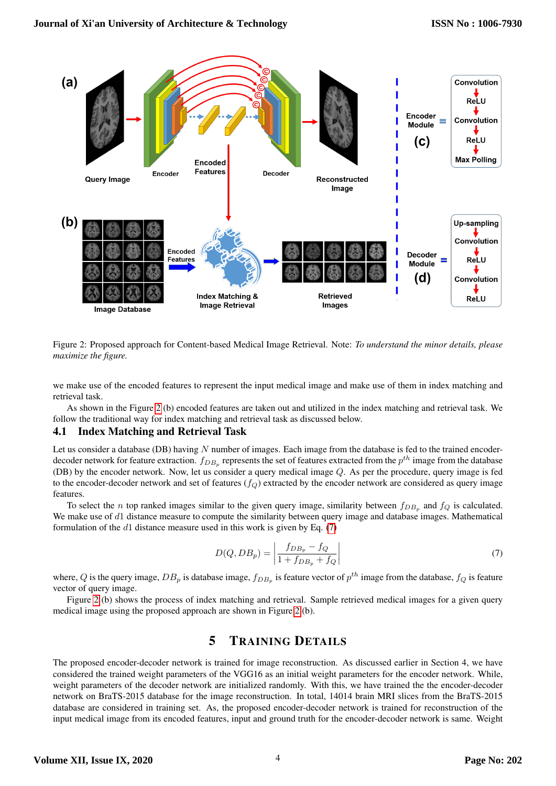

<span id="page-3-0"></span>Figure 2: Proposed approach for Content-based Medical Image Retrieval. Note: *To understand the minor details, please maximize the figure.*

we make use of the encoded features to represent the input medical image and make use of them in index matching and retrieval task.

As shown in the Figure [2](#page-3-0) (b) encoded features are taken out and utilized in the index matching and retrieval task. We follow the traditional way for index matching and retrieval task as discussed below.

#### 4.1 Index Matching and Retrieval Task

Let us consider a database (DB) having  $N$  number of images. Each image from the database is fed to the trained encoderdecoder network for feature extraction.  $f_{DB_p}$  represents the set of features extracted from the  $p^{th}$  image from the database (DB) by the encoder network. Now, let us consider a query medical image Q. As per the procedure, query image is fed to the encoder-decoder network and set of features  $(f_Q)$  extracted by the encoder network are considered as query image features.

To select the *n* top ranked images similar to the given query image, similarity between  $f_{DB_p}$  and  $f_Q$  is calculated. We make use of  $d1$  distance measure to compute the similarity between query image and database images. Mathematical formulation of the  $d1$  distance measure used in this work is given by Eq. [\(7\)](#page-3-1)

<span id="page-3-1"></span>
$$
D(Q, DB_p) = \left| \frac{f_{DB_p} - f_Q}{1 + f_{DB_p} + f_Q} \right| \tag{7}
$$

where, Q is the query image,  $DB_p$  is database image,  $f_{DB_p}$  is feature vector of  $p^{th}$  image from the database,  $f_Q$  is feature vector of query image.

Figure [2](#page-3-0) (b) shows the process of index matching and retrieval. Sample retrieved medical images for a given query medical image using the proposed approach are shown in Figure [2](#page-3-0) (b).

# 5 TRAINING DETAILS

The proposed encoder-decoder network is trained for image reconstruction. As discussed earlier in Section 4, we have considered the trained weight parameters of the VGG16 as an initial weight parameters for the encoder network. While, weight parameters of the decoder network are initialized randomly. With this, we have trained the the encoder-decoder network on BraTS-2015 database for the image reconstruction. In total, 14014 brain MRI slices from the BraTS-2015 database are considered in training set. As, the proposed encoder-decoder network is trained for reconstruction of the input medical image from its encoded features, input and ground truth for the encoder-decoder network is same. Weight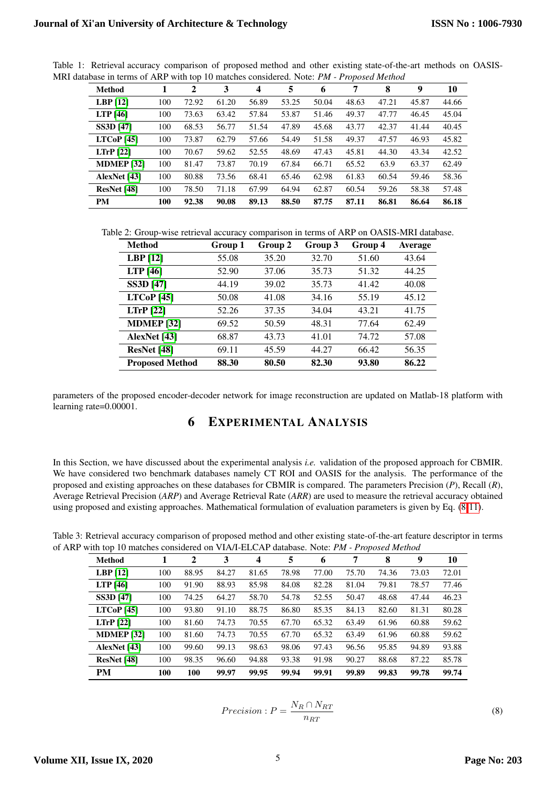<span id="page-4-1"></span>

| <b>Method</b>         |     | 2     | 3     | $\boldsymbol{4}$ | 5     | 6     |       | 8     | 9     | 10    |
|-----------------------|-----|-------|-------|------------------|-------|-------|-------|-------|-------|-------|
| LBP $[12]$            | 100 | 72.92 | 61.20 | 56.89            | 53.25 | 50.04 | 48.63 | 47.21 | 45.87 | 44.66 |
| <b>LTP</b> [46]       | 100 | 73.63 | 63.42 | 57.84            | 53.87 | 51.46 | 49.37 | 47.77 | 46.45 | 45.04 |
| <b>SS3D</b> [47]      | 100 | 68.53 | 56.77 | 51.54            | 47.89 | 45.68 | 43.77 | 42.37 | 41.44 | 40.45 |
| LTCoP <sub>[45]</sub> | 100 | 73.87 | 62.79 | 57.66            | 54.49 | 51.58 | 49.37 | 47.57 | 46.93 | 45.82 |
| $LTrP$ [22]           | 100 | 70.67 | 59.62 | 52.55            | 48.69 | 47.43 | 45.81 | 44.30 | 43.34 | 42.52 |
| <b>MDMEP [32]</b>     | 100 | 81.47 | 73.87 | 70.19            | 67.84 | 66.71 | 65.52 | 63.9  | 63.37 | 62.49 |
| AlexNet [43]          | 100 | 80.88 | 73.56 | 68.41            | 65.46 | 62.98 | 61.83 | 60.54 | 59.46 | 58.36 |
| ResNet [48]           | 100 | 78.50 | 71.18 | 67.99            | 64.94 | 62.87 | 60.54 | 59.26 | 58.38 | 57.48 |
| <b>PM</b>             | 100 | 92.38 | 90.08 | 89.13            | 88.50 | 87.75 | 87.11 | 86.81 | 86.64 | 86.18 |

Table 1: Retrieval accuracy comparison of proposed method and other existing state-of-the-art methods on OASIS-MRI database in terms of ARP with top 10 matches considered. Note: *PM* - Proposed Method

Table 2: Group-wise retrieval accuracy comparison in terms of ARP on OASIS-MRI database.

<span id="page-4-2"></span>

| Method                 | Group 1 | Group 2 | Group 3 | Group 4 | <b>Average</b> |
|------------------------|---------|---------|---------|---------|----------------|
| $LBP$ [12]             | 55.08   | 35.20   | 32.70   | 51.60   | 43.64          |
| LTP $[46]$             | 52.90   | 37.06   | 35.73   | 51.32   | 44.25          |
| <b>SS3D</b> [47]       | 44.19   | 39.02   | 35.73   | 41.42   | 40.08          |
| LTCoP[45]              | 50.08   | 41.08   | 34.16   | 55.19   | 45.12          |
| LTrP [22]              | 52.26   | 37.35   | 34.04   | 43.21   | 41.75          |
| <b>MDMEP</b> [32]      | 69.52   | 50.59   | 48.31   | 77.64   | 62.49          |
| AlexNet [43]           | 68.87   | 43.73   | 41.01   | 74.72   | 57.08          |
| ResNet [48]            | 69.11   | 45.59   | 44.27   | 66.42   | 56.35          |
| <b>Proposed Method</b> | 88.30   | 80.50   | 82.30   | 93.80   | 86.22          |

parameters of the proposed encoder-decoder network for image reconstruction are updated on Matlab-18 platform with learning rate=0.00001.

## 6 EXPERIMENTAL ANALYSIS

In this Section, we have discussed about the experimental analysis *i.e.* validation of the proposed approach for CBMIR. We have considered two benchmark databases namely CT ROI and OASIS for the analysis. The performance of the proposed and existing approaches on these databases for CBMIR is compared. The parameters Precision (*P*), Recall (*R*), Average Retrieval Precision (*ARP*) and Average Retrieval Rate (*ARR*) are used to measure the retrieval accuracy obtained using proposed and existing approaches. Mathematical formulation of evaluation parameters is given by Eq. [\(8](#page-4-0)[-11\)](#page-5-0).

Table 3: Retrieval accuracy comparison of proposed method and other existing state-of-the-art feature descriptor in terms of ARP withitop 10 matches consideredion VIA/I-ELCAP database. Note:i*PM - Proposed Method*

<span id="page-4-3"></span>

| <b>Method</b>     |     | 2     | 3     | 4     | 5     | 6     |       | 8     | 9     | 10    |
|-------------------|-----|-------|-------|-------|-------|-------|-------|-------|-------|-------|
| LBP $[12]$        | 100 | 88.95 | 84.27 | 81.65 | 78.98 | 77.00 | 75.70 | 74.36 | 73.03 | 72.01 |
| <b>LTP</b> [46]   | 100 | 91.90 | 88.93 | 85.98 | 84.08 | 82.28 | 81.04 | 79.81 | 78.57 | 77.46 |
| <b>SS3D [47]</b>  | 100 | 74.25 | 64.27 | 58.70 | 54.78 | 52.55 | 50.47 | 48.68 | 47.44 | 46.23 |
| LTCoP[45]         | 100 | 93.80 | 91.10 | 88.75 | 86.80 | 85.35 | 84.13 | 82.60 | 81.31 | 80.28 |
| $LTrP$ [22]       | 100 | 81.60 | 74.73 | 70.55 | 67.70 | 65.32 | 63.49 | 61.96 | 60.88 | 59.62 |
| <b>MDMEP</b> [32] | 100 | 81.60 | 74.73 | 70.55 | 67.70 | 65.32 | 63.49 | 61.96 | 60.88 | 59.62 |
| AlexNet [43]      | 100 | 99.60 | 99.13 | 98.63 | 98.06 | 97.43 | 96.56 | 95.85 | 94.89 | 93.88 |
| ResNet [48]       | 100 | 98.35 | 96.60 | 94.88 | 93.38 | 91.98 | 90.27 | 88.68 | 87.22 | 85.78 |
| <b>PM</b>         | 100 | 100   | 99.97 | 99.95 | 99.94 | 99.91 | 99.89 | 99.83 | 99.78 | 99.74 |

<span id="page-4-0"></span>
$$
Precision: P = \frac{N_R \cap N_{RT}}{n_{RT}}
$$

(8)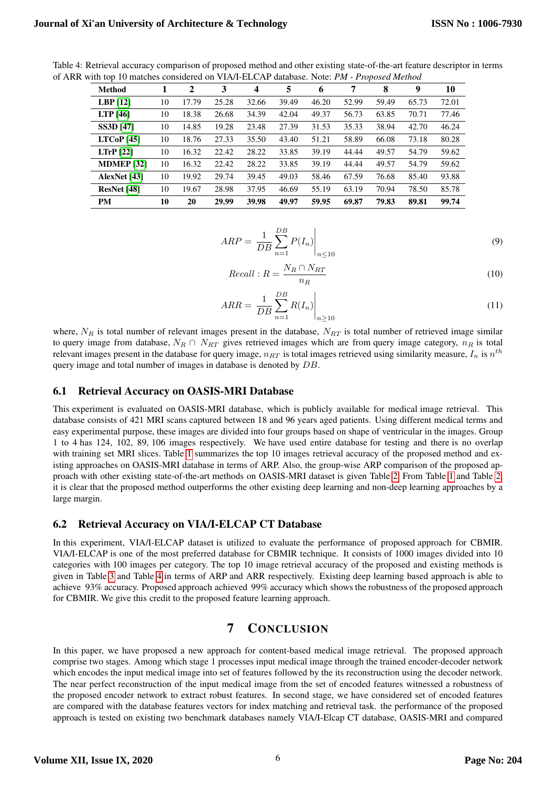<span id="page-5-1"></span>

| <b>Method</b>     |    | $\mathbf{2}$ | 3     | $\boldsymbol{4}$ | 5     | 6     | 7     | 8     | 9     | 10    |
|-------------------|----|--------------|-------|------------------|-------|-------|-------|-------|-------|-------|
| $LBP$ [12]        | 10 | 17.79        | 25.28 | 32.66            | 39.49 | 46.20 | 52.99 | 59.49 | 65.73 | 72.01 |
| <b>LTP</b> [46]   | 10 | 18.38        | 26.68 | 34.39            | 42.04 | 49.37 | 56.73 | 63.85 | 70.71 | 77.46 |
| <b>SS3D [47]</b>  | 10 | 14.85        | 19.28 | 23.48            | 27.39 | 31.53 | 35.33 | 38.94 | 42.70 | 46.24 |
| LTCoP[45]         | 10 | 18.76        | 27.33 | 35.50            | 43.40 | 51.21 | 58.89 | 66.08 | 73.18 | 80.28 |
| LTrP [22]         | 10 | 16.32        | 22.42 | 28.22            | 33.85 | 39.19 | 44.44 | 49.57 | 54.79 | 59.62 |
| <b>MDMEP [32]</b> | 10 | 16.32        | 22.42 | 28.22            | 33.85 | 39.19 | 44.44 | 49.57 | 54.79 | 59.62 |
| AlexNet [43]      | 10 | 19.92        | 29.74 | 39.45            | 49.03 | 58.46 | 67.59 | 76.68 | 85.40 | 93.88 |
| ResNet [48]       | 10 | 19.67        | 28.98 | 37.95            | 46.69 | 55.19 | 63.19 | 70.94 | 78.50 | 85.78 |
| PМ                | 10 | 20           | 29.99 | 39.98            | 49.97 | 59.95 | 69.87 | 79.83 | 89.81 | 99.74 |

Table 4: Retrieval accuracy comparison of proposed method and other existing state-of-the-art feature descriptor in terms of ARR with top 10 matches considered on VIA/I-ELCAP database. Note: *PM - Proposed Method* 

$$
ARP = \left. \frac{1}{DB} \sum_{n=1}^{DB} P(I_n) \right|_{n \le 10}
$$
\n(9)

$$
Recall: R = \frac{N_R \cap N_{RT}}{n_R}
$$
\n<sup>(10)</sup>

<span id="page-5-0"></span>
$$
ARR = \left. \frac{1}{DB} \sum_{n=1}^{DB} R(I_n) \right|_{n \ge 10}
$$
\n(11)

where,  $N_R$  is total number of relevant images present in the database,  $N_{RT}$  is total number of retrieved image similar to query image from database,  $N_R \cap N_{RT}$  gives retrieved images which are from query image category,  $n_R$  is total relevant images present in the database for query image,  $n_{RT}$  is total images retrieved using similarity measure,  $I_n$  is  $n^{th}$ query image and total number of images in database is denoted by DB.

#### 6.1 Retrieval Accuracy on OASIS-MRI Database

This experiment is evaluated on OASIS-MRI database, which is publicly available for medical image retrieval. This database consists of 421 MRI scans captured between 18 and 96 years aged patients. Using different medical terms and easy experimental purpose, these images are divided into four groups based on shape of ventricular in the images. Group 1 to 4 has 124, 102, 89, 106 images respectively. We have used entire database for testing and there is no overlap with training set MRI slices. Table [1](#page-4-1) summarizes the top 10 images retrieval accuracy of the proposed method and existing approaches on OASIS-MRI database in terms of ARP. Also, the group-wise ARP comparison of the proposed ap-proach with other existing state-of-the-art methods on OASIS-MRI dataset is given Table [2.](#page-4-2) From Table [1](#page-4-1) and Table [2,](#page-4-2) it is clear that the proposed method outperforms the other existing deep learning and non-deep learning approaches by a large margin.

#### 6.2 Retrieval Accuracy on VIA/I-ELCAP CT Database

In this experiment, VIA/I-ELCAP dataset is utilized to evaluate the performance of proposed approach for CBMIR. VIA/I-ELCAP is one of the most preferred database for CBMIR technique. It consists of 1000 images divided into 10 categories with 100 images per category. The top 10 image retrieval accuracy of the proposed and existing methods is given in Table 3 and Table 4 in terms of ARP and ARR respectively. Existing deep learning based approach is able to achieve 93% accuracy. Proposed approach achieved 99% accuracy which shows the robustness of the proposed approach for CBMIR. We give this credit to the proposed feature learning approach.

# 7 CONCLUSION

In this paper, we have proposed a new approach for content-based medical image retrieval. The proposed approach comprise two stages. Among which stage 1 processes input medical image through the trained encoder-decoder network which encodes the input medical image into set of features followed by the its reconstruction using the decoder network. The near perfect reconstruction of the input medical image from the set of encoded features witnessed a robustness of the proposed encoder network to extract robust features. In second stage, we have considered set of encoded features are compared with the database features vectors for index matching and retrieval task. the performance of the proposed approach is tested on existing two benchmark databases namely VIA/I-Elcap CT database, OASIS-MRI and compared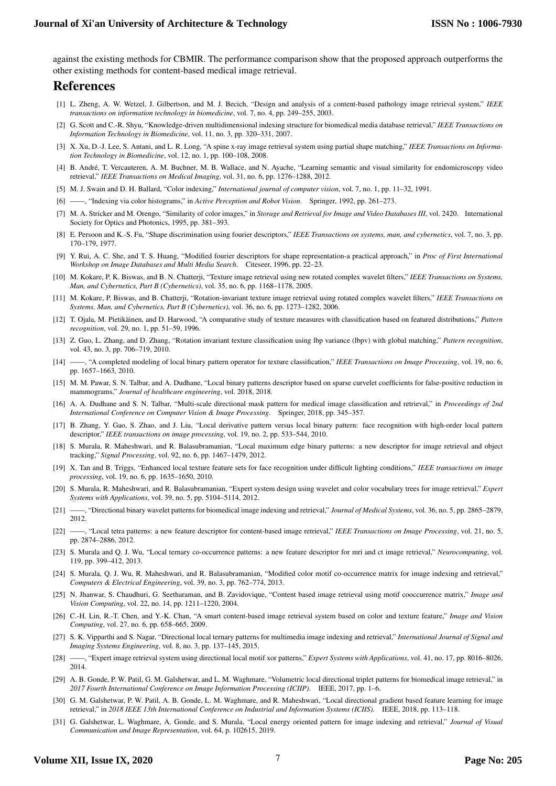against the existing methods for CBMIR. The performance comparison show that the proposed approach outperforms the other existing methods for content-based medical image retrieval.

# References

- <span id="page-6-0"></span>[1] L. Zheng, A. W. Wetzel, J. Gilbertson, and M. J. Becich, "Design and analysis of a content-based pathology image retrieval system," *IEEE transactions on information technology in biomedicine*, vol. 7, no. 4, pp. 249–255, 2003.
- [2] G. Scott and C.-R. Shyu, "Knowledge-driven multidimensional indexing structure for biomedical media database retrieval," *IEEE Transactions on Information Technology in Biomedicine*, vol. 11, no. 3, pp. 320–331, 2007.
- [3] X. Xu, D.-J. Lee, S. Antani, and L. R. Long, "A spine x-ray image retrieval system using partial shape matching," *IEEE Transactions on Information Technology in Biomedicine*, vol. 12, no. 1, pp. 100–108, 2008.
- <span id="page-6-1"></span>[4] B. Andre, T. Vercauteren, A. M. Buchner, M. B. Wallace, and N. Ayache, "Learning semantic and visual similarity for endomicroscopy video ´ retrieval," *IEEE Transactions on Medical Imaging*, vol. 31, no. 6, pp. 1276–1288, 2012.
- <span id="page-6-2"></span>[5] M. J. Swain and D. H. Ballard, "Color indexing," *International journal of computer vision*, vol. 7, no. 1, pp. 11–32, 1991.
- <span id="page-6-3"></span>[6] ——, "Indexing via color histograms," in *Active Perception and Robot Vision*. Springer, 1992, pp. 261–273.
- <span id="page-6-4"></span>[7] M. A. Stricker and M. Orengo, "Similarity of color images," in *Storage and Retrieval for Image and Video Databases III*, vol. 2420. International Society for Optics and Photonics, 1995, pp. 381–393.
- <span id="page-6-5"></span>[8] E. Persoon and K.-S. Fu, "Shape discrimination using fourier descriptors," *IEEE Transactions on systems, man, and cybernetics*, vol. 7, no. 3, pp. 170–179, 1977.
- <span id="page-6-6"></span>[9] Y. Rui, A. C. She, and T. S. Huang, "Modified fourier descriptors for shape representation-a practical approach," in *Proc of First International Workshop on Image Databases and Multi Media Search*. Citeseer, 1996, pp. 22–23.
- <span id="page-6-7"></span>[10] M. Kokare, P. K. Biswas, and B. N. Chatterji, "Texture image retrieval using new rotated complex wavelet filters," *IEEE Transactions on Systems, Man, and Cybernetics, Part B (Cybernetics)*, vol. 35, no. 6, pp. 1168–1178, 2005.
- <span id="page-6-8"></span>[11] M. Kokare, P. Biswas, and B. Chatterji, "Rotation-invariant texture image retrieval using rotated complex wavelet filters," *IEEE Transactions on Systems, Man, and Cybernetics, Part B (Cybernetics)*, vol. 36, no. 6, pp. 1273–1282, 2006.
- <span id="page-6-9"></span>[12] T. Ojala, M. Pietikäinen, and D. Harwood, "A comparative study of texture measures with classification based on featured distributions," Pattern *recognition*, vol. 29, no. 1, pp. 51–59, 1996.
- <span id="page-6-10"></span>[13] Z. Guo, L. Zhang, and D. Zhang, "Rotation invariant texture classification using lbp variance (lbpv) with global matching," *Pattern recognition*, vol. 43, no. 3, pp. 706–719, 2010.
- <span id="page-6-11"></span>[14] ——, "A completed modeling of local binary pattern operator for texture classification," *IEEE Transactions on Image Processing*, vol. 19, no. 6, pp. 1657–1663, 2010.
- <span id="page-6-12"></span>[15] M. M. Pawar, S. N. Talbar, and A. Dudhane, "Local binary patterns descriptor based on sparse curvelet coefficients for false-positive reduction in mammograms," *Journal of healthcare engineering*, vol. 2018, 2018.
- <span id="page-6-13"></span>[16] A. A. Dudhane and S. N. Talbar, "Multi-scale directional mask pattern for medical image classification and retrieval," in *Proceedings of 2nd International Conference on Computer Vision & Image Processing*. Springer, 2018, pp. 345–357.
- <span id="page-6-14"></span>[17] B. Zhang, Y. Gao, S. Zhao, and J. Liu, "Local derivative pattern versus local binary pattern: face recognition with high-order local pattern descriptor," *IEEE transactions on image processing*, vol. 19, no. 2, pp. 533–544, 2010.
- <span id="page-6-15"></span>[18] S. Murala, R. Maheshwari, and R. Balasubramanian, "Local maximum edge binary patterns: a new descriptor for image retrieval and object tracking," *Signal Processing*, vol. 92, no. 6, pp. 1467–1479, 2012.
- <span id="page-6-16"></span>[19] X. Tan and B. Triggs, "Enhanced local texture feature sets for face recognition under difficult lighting conditions," *IEEE transactions on image processing*, vol. 19, no. 6, pp. 1635–1650, 2010.
- <span id="page-6-17"></span>[20] S. Murala, R. Maheshwari, and R. Balasubramanian, "Expert system design using wavelet and color vocabulary trees for image retrieval," *Expert Systems with Applications*, vol. 39, no. 5, pp. 5104–5114, 2012.
- <span id="page-6-19"></span>[21] ——, "Directional binary wavelet patterns for biomedical image indexing and retrieval," *Journal of Medical Systems*, vol. 36, no. 5, pp. 2865–2879, 2012.
- <span id="page-6-20"></span>[22] ——, "Local tetra patterns: a new feature descriptor for content-based image retrieval," *IEEE Transactions on Image Processing*, vol. 21, no. 5, pp. 2874–2886, 2012.
- <span id="page-6-24"></span>[23] S. Murala and Q. J. Wu, "Local ternary co-occurrence patterns: a new feature descriptor for mri and ct image retrieval," *Neurocomputing*, vol. 119, pp. 399–412, 2013.
- <span id="page-6-18"></span>[24] S. Murala, Q. J. Wu, R. Maheshwari, and R. Balasubramanian, "Modified color motif co-occurrence matrix for image indexing and retrieval," *Computers & Electrical Engineering*, vol. 39, no. 3, pp. 762–774, 2013.
- <span id="page-6-21"></span>[25] N. Jhanwar, S. Chaudhuri, G. Seetharaman, and B. Zavidovique, "Content based image retrieval using motif cooccurrence matrix," *Image and Vision Computing*, vol. 22, no. 14, pp. 1211–1220, 2004.
- <span id="page-6-22"></span>[26] C.-H. Lin, R.-T. Chen, and Y.-K. Chan, "A smart content-based image retrieval system based on color and texture feature," *Image and Vision Computing*, vol. 27, no. 6, pp. 658–665, 2009.
- <span id="page-6-23"></span>[27] S. K. Vipparthi and S. Nagar, "Directional local ternary patterns for multimedia image indexing and retrieval," *International Journal of Signal and Imaging Systems Engineering*, vol. 8, no. 3, pp. 137–145, 2015.
- <span id="page-6-25"></span>[28] ——, "Expert image retrieval system using directional local motif xor patterns," *Expert Systems with Applications*, vol. 41, no. 17, pp. 8016–8026, 2014.
- <span id="page-6-26"></span>[29] A. B. Gonde, P. W. Patil, G. M. Galshetwar, and L. M. Waghmare, "Volumetric local directional triplet patterns for biomedical image retrieval," in *2017 Fourth International Conference on Image Information Processing (ICIIP)*. IEEE, 2017, pp. 1–6.
- <span id="page-6-27"></span>[30] G. M. Galshetwar, P. W. Patil, A. B. Gonde, L. M. Waghmare, and R. Maheshwari, "Local directional gradient based feature learning for image retrieval," in *2018 IEEE 13th International Conference on Industrial and Information Systems (ICIIS)*. IEEE, 2018, pp. 113–118.
- <span id="page-6-28"></span>[31] G. Galshetwar, L. Waghmare, A. Gonde, and S. Murala, "Local energy oriented pattern for image indexing and retrieval," *Journal of Visual Communication and Image Representation*, vol. 64, p. 102615, 2019.